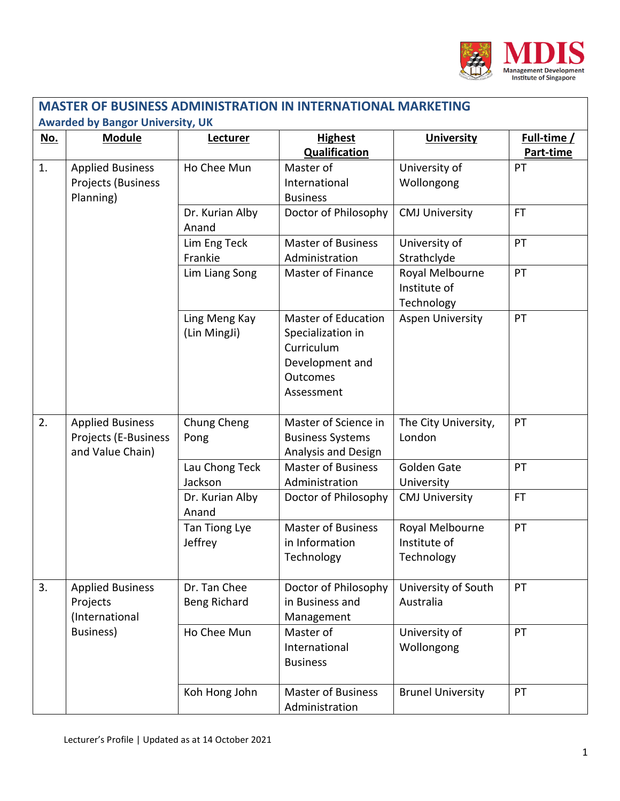

| <b>MASTER OF BUSINESS ADMINISTRATION IN INTERNATIONAL MARKETING</b> |                                                                     |                                     |                                                                                                                   |                                               |                          |  |  |
|---------------------------------------------------------------------|---------------------------------------------------------------------|-------------------------------------|-------------------------------------------------------------------------------------------------------------------|-----------------------------------------------|--------------------------|--|--|
| <b>Awarded by Bangor University, UK</b>                             |                                                                     |                                     |                                                                                                                   |                                               |                          |  |  |
| No.                                                                 | <b>Module</b>                                                       | Lecturer                            | <b>Highest</b><br><b>Qualification</b>                                                                            | <b>University</b>                             | Full-time /<br>Part-time |  |  |
| 1.                                                                  | <b>Applied Business</b><br>Projects (Business<br>Planning)          | Ho Chee Mun                         | Master of<br>International<br><b>Business</b>                                                                     | University of<br>Wollongong                   | PT                       |  |  |
|                                                                     |                                                                     | Dr. Kurian Alby<br>Anand            | Doctor of Philosophy                                                                                              | <b>CMJ University</b>                         | <b>FT</b>                |  |  |
|                                                                     |                                                                     | Lim Eng Teck<br>Frankie             | <b>Master of Business</b><br>Administration                                                                       | University of<br>Strathclyde                  | PT                       |  |  |
|                                                                     |                                                                     | Lim Liang Song                      | <b>Master of Finance</b>                                                                                          | Royal Melbourne<br>Institute of<br>Technology | PT                       |  |  |
|                                                                     |                                                                     | Ling Meng Kay<br>(Lin MingJi)       | <b>Master of Education</b><br>Specialization in<br>Curriculum<br>Development and<br><b>Outcomes</b><br>Assessment | <b>Aspen University</b>                       | PT                       |  |  |
| 2.                                                                  | <b>Applied Business</b><br>Projects (E-Business<br>and Value Chain) | Chung Cheng<br>Pong                 | Master of Science in<br><b>Business Systems</b><br>Analysis and Design                                            | The City University,<br>London                | PT                       |  |  |
|                                                                     |                                                                     | Lau Chong Teck<br>Jackson           | <b>Master of Business</b><br>Administration                                                                       | <b>Golden Gate</b><br>University              | PT                       |  |  |
|                                                                     |                                                                     | Dr. Kurian Alby<br>Anand            | Doctor of Philosophy                                                                                              | <b>CMJ University</b>                         | <b>FT</b>                |  |  |
|                                                                     |                                                                     | Tan Tiong Lye<br>Jeffrey            | <b>Master of Business</b><br>in Information<br>Technology                                                         | Royal Melbourne<br>Institute of<br>Technology | PT                       |  |  |
| 3.                                                                  | <b>Applied Business</b><br>Projects<br>(International               | Dr. Tan Chee<br><b>Beng Richard</b> | Doctor of Philosophy<br>in Business and<br>Management                                                             | University of South<br>Australia              | PT                       |  |  |
|                                                                     | Business)                                                           | Ho Chee Mun                         | Master of<br>International<br><b>Business</b>                                                                     | University of<br>Wollongong                   | PT                       |  |  |
|                                                                     |                                                                     | Koh Hong John                       | <b>Master of Business</b><br>Administration                                                                       | <b>Brunel University</b>                      | PT                       |  |  |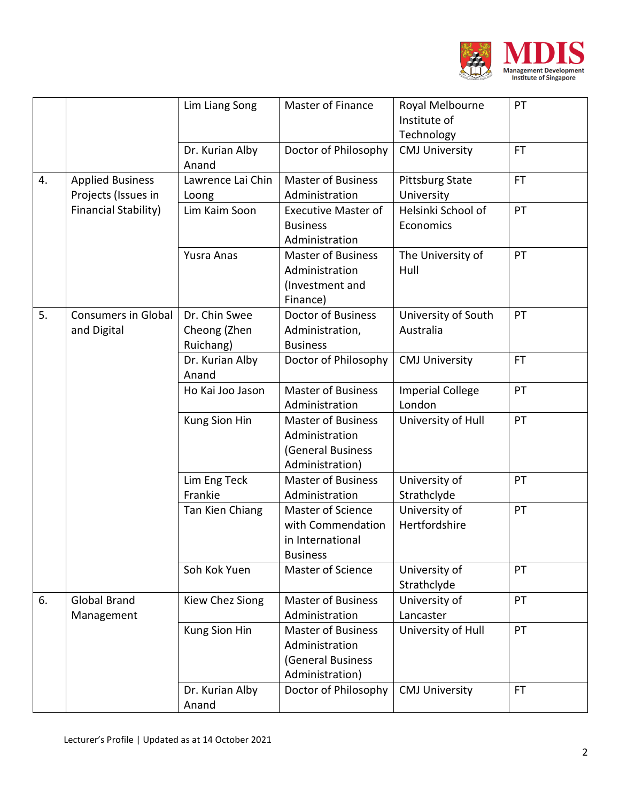

|    |                                                                        | Lim Liang Song                             | <b>Master of Finance</b>                                                            | Royal Melbourne<br>Institute of<br>Technology | PT        |
|----|------------------------------------------------------------------------|--------------------------------------------|-------------------------------------------------------------------------------------|-----------------------------------------------|-----------|
|    |                                                                        | Dr. Kurian Alby<br>Anand                   | Doctor of Philosophy                                                                | <b>CMJ University</b>                         | <b>FT</b> |
| 4. | <b>Applied Business</b><br>Projects (Issues in<br>Financial Stability) | Lawrence Lai Chin<br>Loong                 | <b>Master of Business</b><br>Administration                                         | <b>Pittsburg State</b><br>University          | <b>FT</b> |
|    |                                                                        | Lim Kaim Soon                              | <b>Executive Master of</b><br><b>Business</b><br>Administration                     | Helsinki School of<br>Economics               | PT        |
|    |                                                                        | <b>Yusra Anas</b>                          | <b>Master of Business</b><br>Administration<br>(Investment and<br>Finance)          | The University of<br>Hull                     | PT        |
| 5. | <b>Consumers in Global</b><br>and Digital                              | Dr. Chin Swee<br>Cheong (Zhen<br>Ruichang) | <b>Doctor of Business</b><br>Administration,<br><b>Business</b>                     | University of South<br>Australia              | PT        |
|    |                                                                        | Dr. Kurian Alby<br>Anand                   | Doctor of Philosophy                                                                | <b>CMJ University</b>                         | <b>FT</b> |
|    |                                                                        | Ho Kai Joo Jason                           | <b>Master of Business</b><br>Administration                                         | <b>Imperial College</b><br>London             | PT        |
|    |                                                                        | Kung Sion Hin                              | <b>Master of Business</b><br>Administration<br>(General Business<br>Administration) | University of Hull                            | PT        |
|    |                                                                        | Lim Eng Teck<br>Frankie                    | <b>Master of Business</b><br>Administration                                         | University of<br>Strathclyde                  | PT        |
|    |                                                                        | Tan Kien Chiang                            | Master of Science<br>with Commendation<br>in International<br><b>Business</b>       | University of<br>Hertfordshire                | PT        |
|    |                                                                        | Soh Kok Yuen                               | <b>Master of Science</b>                                                            | University of<br>Strathclyde                  | PT        |
| 6. | <b>Global Brand</b><br>Management                                      | Kiew Chez Siong                            | <b>Master of Business</b><br>Administration                                         | University of<br>Lancaster                    | PT        |
|    |                                                                        | Kung Sion Hin                              | <b>Master of Business</b><br>Administration<br>(General Business<br>Administration) | University of Hull                            | PT        |
|    |                                                                        | Dr. Kurian Alby<br>Anand                   | Doctor of Philosophy                                                                | <b>CMJ University</b>                         | <b>FT</b> |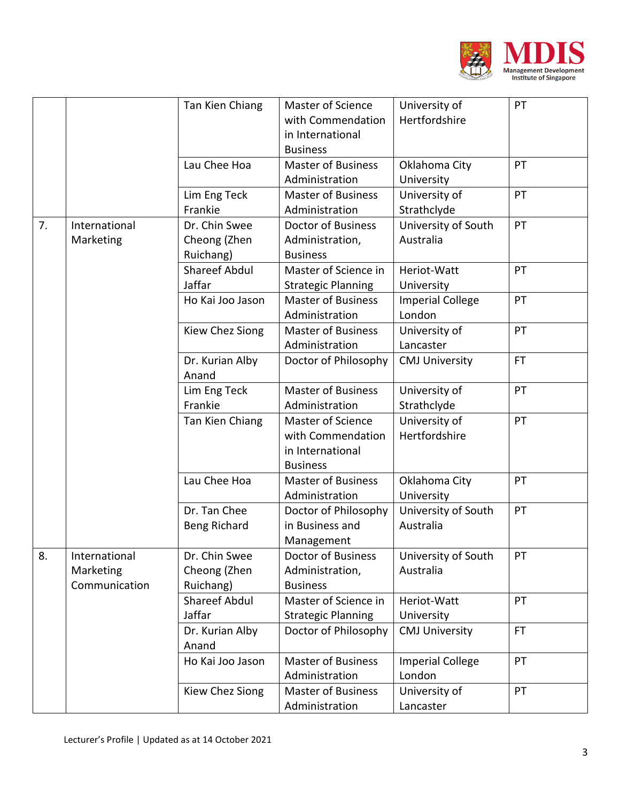

|    |                                             | Tan Kien Chiang                            | Master of Science<br>with Commendation<br>in International<br><b>Business</b> | University of<br>Hertfordshire    | PT        |
|----|---------------------------------------------|--------------------------------------------|-------------------------------------------------------------------------------|-----------------------------------|-----------|
|    |                                             | Lau Chee Hoa                               | <b>Master of Business</b><br>Administration                                   | Oklahoma City<br>University       | PT        |
|    |                                             | Lim Eng Teck<br>Frankie                    | <b>Master of Business</b><br>Administration                                   | University of<br>Strathclyde      | PT        |
| 7. | International<br>Marketing                  | Dr. Chin Swee<br>Cheong (Zhen<br>Ruichang) | <b>Doctor of Business</b><br>Administration,<br><b>Business</b>               | University of South<br>Australia  | PT        |
|    |                                             | Shareef Abdul<br>Jaffar                    | Master of Science in<br><b>Strategic Planning</b>                             | Heriot-Watt<br>University         | PT        |
|    |                                             | Ho Kai Joo Jason                           | <b>Master of Business</b><br>Administration                                   | <b>Imperial College</b><br>London | PT        |
|    |                                             | Kiew Chez Siong                            | <b>Master of Business</b><br>Administration                                   | University of<br>Lancaster        | PT        |
|    |                                             | Dr. Kurian Alby<br>Anand                   | Doctor of Philosophy                                                          | <b>CMJ University</b>             | <b>FT</b> |
|    |                                             | Lim Eng Teck<br>Frankie                    | <b>Master of Business</b><br>Administration                                   | University of<br>Strathclyde      | PT        |
|    |                                             | Tan Kien Chiang                            | Master of Science<br>with Commendation<br>in International<br><b>Business</b> | University of<br>Hertfordshire    | PT        |
|    |                                             | Lau Chee Hoa                               | <b>Master of Business</b><br>Administration                                   | Oklahoma City<br>University       | PT        |
|    |                                             | Dr. Tan Chee<br>Beng Richard               | Doctor of Philosophy<br>in Business and<br>Management                         | University of South<br>Australia  | PT        |
| 8. | International<br>Marketing<br>Communication | Dr. Chin Swee<br>Cheong (Zhen<br>Ruichang) | <b>Doctor of Business</b><br>Administration,<br><b>Business</b>               | University of South<br>Australia  | PT        |
|    |                                             | <b>Shareef Abdul</b><br>Jaffar             | Master of Science in<br><b>Strategic Planning</b>                             | Heriot-Watt<br>University         | PT        |
|    |                                             | Dr. Kurian Alby<br>Anand                   | Doctor of Philosophy                                                          | <b>CMJ University</b>             | <b>FT</b> |
|    |                                             | Ho Kai Joo Jason                           | <b>Master of Business</b><br>Administration                                   | <b>Imperial College</b><br>London | PT        |
|    |                                             | Kiew Chez Siong                            | <b>Master of Business</b><br>Administration                                   | University of<br>Lancaster        | PT        |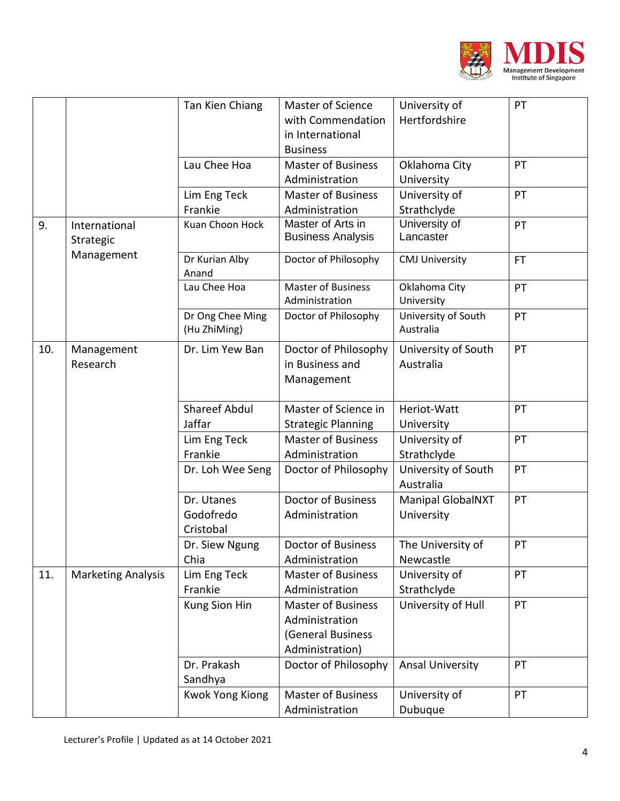

|     |                                          | Tan Kien Chiang        | <b>Master of Science</b>  | University of            | PT        |
|-----|------------------------------------------|------------------------|---------------------------|--------------------------|-----------|
|     |                                          |                        | with Commendation         | Hertfordshire            |           |
|     |                                          |                        | in International          |                          |           |
|     |                                          |                        | <b>Business</b>           |                          |           |
|     |                                          | Lau Chee Hoa           | <b>Master of Business</b> | Oklahoma City            | PT        |
|     |                                          |                        | Administration            | University               |           |
|     |                                          | Lim Eng Teck           | <b>Master of Business</b> | University of            | PT        |
|     |                                          | Frankie                | Administration            | Strathclyde              |           |
| 9.  | International<br>Strategic<br>Management | Kuan Choon Hock        | Master of Arts in         | University of            | PT        |
|     |                                          |                        | <b>Business Analysis</b>  | Lancaster                |           |
|     |                                          | Dr Kurian Alby         | Doctor of Philosophy      | <b>CMJ University</b>    | <b>FT</b> |
|     |                                          | Anand                  |                           |                          |           |
|     |                                          | Lau Chee Hoa           | <b>Master of Business</b> | Oklahoma City            | PT        |
|     |                                          |                        | Administration            | University               |           |
|     |                                          | Dr Ong Chee Ming       | Doctor of Philosophy      | University of South      | PT        |
|     |                                          | (Hu ZhiMing)           |                           | Australia                |           |
| 10. | Management                               | Dr. Lim Yew Ban        | Doctor of Philosophy      | University of South      | PT        |
|     | Research                                 |                        | in Business and           | Australia                |           |
|     |                                          |                        | Management                |                          |           |
|     |                                          |                        |                           |                          |           |
|     |                                          | <b>Shareef Abdul</b>   | Master of Science in      | Heriot-Watt              | PT        |
|     |                                          | Jaffar                 | <b>Strategic Planning</b> | University               |           |
|     |                                          | Lim Eng Teck           | <b>Master of Business</b> | University of            | PT        |
|     |                                          | Frankie                | Administration            | Strathclyde              |           |
|     |                                          | Dr. Loh Wee Seng       | Doctor of Philosophy      | University of South      | PT        |
|     |                                          |                        |                           | Australia                |           |
|     |                                          | Dr. Utanes             | <b>Doctor of Business</b> | <b>Manipal GlobalNXT</b> | PT        |
|     |                                          | Godofredo              | Administration            | University               |           |
|     |                                          | Cristobal              |                           |                          |           |
|     |                                          | Dr. Siew Ngung         | <b>Doctor of Business</b> | The University of        | PT        |
|     |                                          | Chia                   | Administration            | Newcastle                |           |
| 11. | <b>Marketing Analysis</b>                | Lim Eng Teck           | <b>Master of Business</b> | University of            | PT        |
|     |                                          | Frankie                | Administration            | Strathclyde              |           |
|     |                                          | Kung Sion Hin          | <b>Master of Business</b> | University of Hull       | PT        |
|     |                                          |                        | Administration            |                          |           |
|     |                                          |                        | (General Business         |                          |           |
|     |                                          |                        | Administration)           |                          |           |
|     |                                          | Dr. Prakash            | Doctor of Philosophy      | <b>Ansal University</b>  | PT        |
|     |                                          | Sandhya                |                           |                          |           |
|     |                                          | <b>Kwok Yong Kiong</b> | <b>Master of Business</b> | University of            | PT        |
|     |                                          |                        | Administration            | Dubuque                  |           |